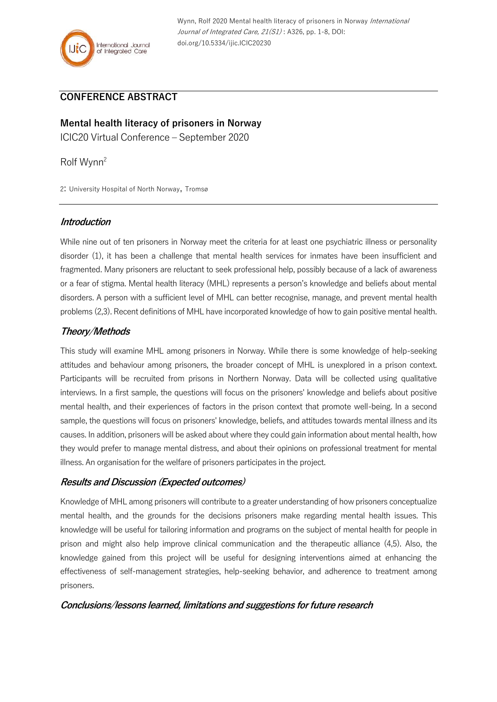

# **CONFERENCE ABSTRACT**

**Mental health literacy of prisoners in Norway** ICIC20 Virtual Conference – September 2020

Rolf Wynn<sup>2</sup>

2: University Hospital of North Norway, Tromsø

#### **Introduction**

While nine out of ten prisoners in Norway meet the criteria for at least one psychiatric illness or personality disorder (1), it has been a challenge that mental health services for inmates have been insufficient and fragmented. Many prisoners are reluctant to seek professional help, possibly because of a lack of awareness or a fear of stigma. Mental health literacy (MHL) represents a person's knowledge and beliefs about mental disorders. A person with a sufficient level of MHL can better recognise, manage, and prevent mental health problems (2,3). Recent definitions of MHL have incorporated knowledge of how to gain positive mental health.

# **Theory/Methods**

This study will examine MHL among prisoners in Norway. While there is some knowledge of help-seeking attitudes and behaviour among prisoners, the broader concept of MHL is unexplored in a prison context. Participants will be recruited from prisons in Northern Norway. Data will be collected using qualitative interviews. In a first sample, the questions will focus on the prisoners' knowledge and beliefs about positive mental health, and their experiences of factors in the prison context that promote well-being. In a second sample, the questions will focus on prisoners' knowledge, beliefs, and attitudes towards mental illness and its causes. In addition, prisoners will be asked about where they could gain information about mental health, how they would prefer to manage mental distress, and about their opinions on professional treatment for mental illness. An organisation for the welfare of prisoners participates in the project.

### **Results and Discussion (Expected outcomes)**

Knowledge of MHL among prisoners will contribute to a greater understanding of how prisoners conceptualize mental health, and the grounds for the decisions prisoners make regarding mental health issues. This knowledge will be useful for tailoring information and programs on the subject of mental health for people in prison and might also help improve clinical communication and the therapeutic alliance (4,5). Also, the knowledge gained from this project will be useful for designing interventions aimed at enhancing the effectiveness of self-management strategies, help-seeking behavior, and adherence to treatment among prisoners.

### **Conclusions/lessons learned, limitations and suggestions for future research**